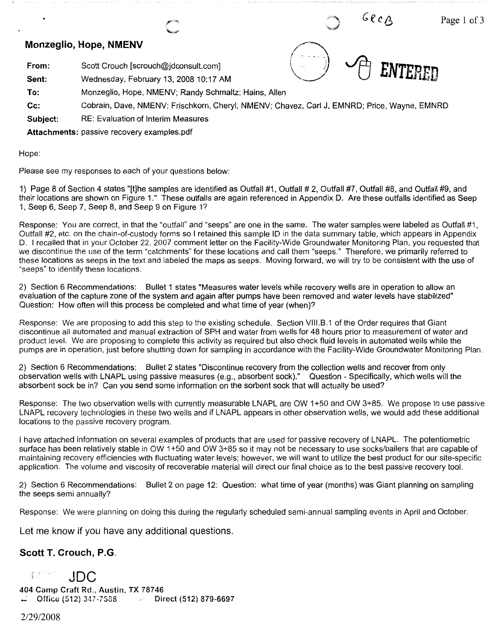## **Monzeglio, Hope, NMENV**

**From:**  Scott Crouch [scrouch@jdconsult.com]

**Sent:**  Wednesday, February 13, 2008 10:17 AM

- **To:**  Monzeglio, Hope, NMENV; Randy Schmaltz; Hains, Allen
- **Cc:**  Cobrain, Dave, NMENV; Frischkorn, Cheryl, NMENV; Chavez, Carl J, EMNRD; Price, Wayne, EMNRD

 ${\tt ENTEREN}$ 

 $GecB$ 

Page 1 of 3

**Subject:**  RE: Evaluation of Interim Measures

**Attachments:** passive recovery examples.pdf

Hope:

Please see my responses to each of your questions below:

1) Page 8 of Section 4 states "[t]he samples are identified as Outfall #1, Outfall # 2, Outfall #7, Outfall #8, and Outfall #9, and their locations are shown on Figure 1." These outfalls are again referenced in Appendix D. Are these outfalls identified as Seep 1, Seep 6, Seep 7, Seep 8, and Seep 9 on Figure 1?

Response: You are correct, in that the "outfall" and "seeps" are one in the same. The water samples were labeled as Outfall #1, Outfall #2, etc. on the chain-of-custody forms so I retained this sample ID in the data summary table, which appears in Appendix D. I recalled that in your October 22, 2007 comment letter on the Facility-Wide Groundwater Monitoring Plan, you requested that we discontinue the use of the term "catchments" for these locations and call them "seeps." Therefore, we primarily referred to these locations as seeps in the text and labeled the maps as seeps. Moving forward, we will try to be consistent with the use of "seeps" to identify these locations.

2) Section 6 Recommendations: Bullet 1 states "Measures water levels while recovery wells are in operation to allow an evaluation of the capture zone of the system and again after pumps have been removed and water levels have stabilized" Question: How often will this process be completed and what time of year (when)?

Response: We are proposing to add this step to the existing schedule. Section VIII.B.1 of the Order requires that Giant discontinue all automated and manual extraction of SPH and water from wells for 48 hours prior to measurement of water and product level. We are proposing to complete this activity as required but also check fluid levels in automated wells while the pumps are in operation, just before shutting down for sampling in accordance with the Facility-Wide Groundwater Monitoring Plan.

2) Section 6 Recommendations: Bullet 2 states "Discontinue recovery from the collection wells and recover from only observation wells with LNAPL using passive measures (e.g., absorbent sock)." Question - Specifically, which wells will the absorbent sock be in? Can you send some information on the sorbent sock that will actually be used?

Response: The two observation wells with currently measurable LNAPL are OW 1+50 and OW 3+85. We propose to use passive LNAPL recovery technologies in these two wells and if LNAPL appears in other observation wells, we would add these additional locations to the passive recovery program.

I have attached information on several examples of products that are used for passive recovery of LNAPL. The potentiometric surface has been relatively stable in OW 1+50 and OW 3+85 so it may not be necessary to use socks/bailers that are capable of maintaining recovery efficiencies with fluctuating water levels; however, we will want to utilize the best product for our site-specific application. The volume and viscosity of recoverable material will direct our final choice as to the best passive recovery tool.

2) Section 6 Recommendations: Bullet 2 on page 12: Question: what time of year (months) was Giant planning on sampling the seeps semi annually?

Response: We were planning on doing this during the regularly scheduled semi-annual sampling events in April and October.

Let me know if you have any additional questions.

## **Scott T. Crouch, P.G.**

取りの **JDC** 

**404 Camp Craft Rd., Austin, TX 78746 Office (512)** 347-7588 **Direct (512) 879-6697** 

2/29/2008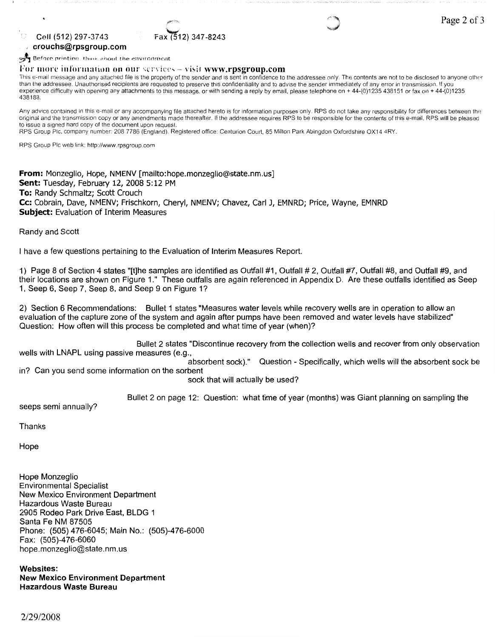2) 347-8243

### **Cell (512) 297-3743 crouchs@rpsgroup.com**

 $\eta$  y

 $\mathbb{F}$  Before printing. think about the environment

For more information on our services – visit www.rpsgroup.com

This e-mail message and any attached file is the property of the sender and is sent in confidence to the addressee only. The contents are not to be disclosed to anyone other than the addressee. Unauthorised recipients are requested to preserve this confidentiality and to advise the sender immediately of any error in transmission. If you experience difficulty with opening any attachments to this message, or with sending a reply by email, please telephone on + 44-(0)1235 438151 or fax on + 44-(0)1235 438188.

Any advice contained in this e-mail or any accompanying file attached hereto is for information purposes only. RPS do not take any responsibility for differences between the original and the transmission copy or any amendments made thereafter. If the addressee requires RPS to be responsible for the contents of this e-mail, RPS will be pleased to issue a signed hard copy of the document upon request.

RPS Group Pie, company number: 208 7786 (England). Registered office: Centurion Court, 85 Milton Park Abingdon Oxfordshire OX14 4RY.

RPS Group Pie web link: http://www.rpsgroup.com

**From:** Monzeglio, Hope, NMENV [mailto:hope.monzeglio@state.nm.us] **Sent:** Tuesday, February 12, 2008 5: 12 PM **To:** Randy Schmaltz; Scott Crouch **Cc:** Cobrain, Dave, NMENV; Frischkorn, Cheryl, NMENV; Chavez, Carl J, EMNRD; Price, Wayne, EMNRD **Subject:** Evaluation of Interim Measures

Randy and Scott

I have a few questions pertaining to the Evaluation of Interim Measures Report.

1) Page 8 of Section 4 states "[t]he samples are identified as Outfall #1, Outfall# 2, Outfall #7, Outfall #8, and Outfall #9, and their locations are shown on Figure 1." These outfalls are again referenced in Appendix D. Are these outfalls identified as Seep 1, Seep 6, Seep 7, Seep 8, and Seep 9 on Figure 1?

2) Section 6 Recommendations: Bullet 1 states "Measures water levels while recovery wells are in operation to allow an evaluation of the capture zone of the system and again after pumps have been removed and water levels have stabilized" Question: How often will this process be completed and what time of year (when)?

Bullet 2 states "Discontinue recovery from the collection wells and recover from only observation wells with LNAPL using passive measures (e.g.,

absorbent sock)." Question - Specifically, which wells will the absorbent sock be in? Can you send some information on the sorbent

sock that will actually be used?

Bullet 2 on page 12: Question: what time of year (months) was Giant planning on sampling the

seeps semi annually?

Thanks

Hope

Hope Monzeglio Environmental Specialist New Mexico Environment Department Hazardous Waste Bureau 2905 Rodeo Park Drive East, BLDG 1 Santa Fe NM 87505 Phone: (505) 476-6045; Main No.: (505)-476-6000 Fax: (505)-476-6060 hope.monzeglio@state.nm.us

**Websites: New Mexico Environment Department Hazardous Waste Bureau**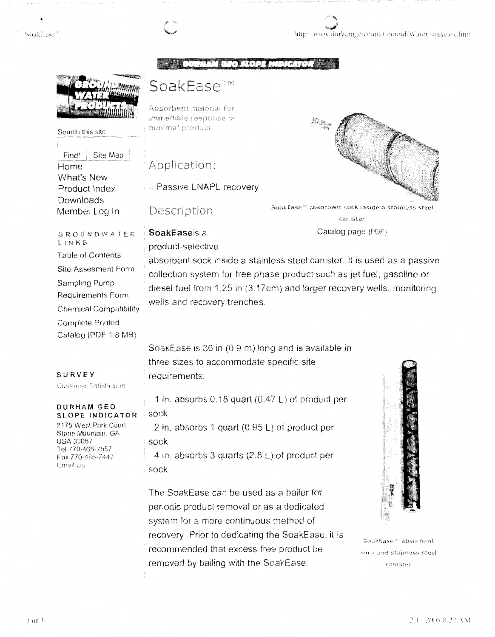#### SoakEase"

http://www.durhamgeo.com/Ground-Water-soakease.htm

HAM GEO SLOPE INDICATOR

Site Map

Search this site

What's New

Product Index Downloads

Member Log In

Find!

Home

# SoakEase™

Absorbent material for immediate response or minimal product.

## Application:

**C** Passive LNAPL recovery

Description

SoakEaseis a

product-selective



SoakEase<sup>e</sup> absorbent sock inside a stainless steel canister

Catalog page (PDF)

GROUNDWATER LINKS **Table of Contents Site Assesment Form** Sampling Pump Requirements Form **Chemical Compatibility Complete Printed** Catalog (PDF 1.8 MB)

absorbent sock inside a stainless steel canister. It is used as a passive collection system for free phase product such as jet fuel, gasoline or diesel fuel from 1.25 in (3.17cm) and larger recovery wells, monitoring wells and recovery trenches.

#### SURVEY

Customer Satisfaction

### **DURHAM GEO** SLOPE INDICATOR

2175 West Park Court Stone Mountain, GA **USA 30087** Tel 770-465-7557 Fax 770-465-7447 Email Us

SoakEase is 36 in (0.9 m) long and is available in three sizes to accommodate specific site requirements:

1 in. absorbs  $0.18$  quart  $(0.47 \text{ L})$  of product per sock

2 in. absorbs 1 quart  $(0.95 L)$  of product per sock

4 in. absorbs 3 quarts  $(2.8 \text{ L})$  of product per sock

The SoakEase can be used as a bailer for periodic product removal or as a dedicated system for a more continuous method of recovery. Prior to dedicating the SoakEase, it is recommended that excess free product be removed by bailing with the SoakEase.



SoakEase" absorbent sock and stainless steel canister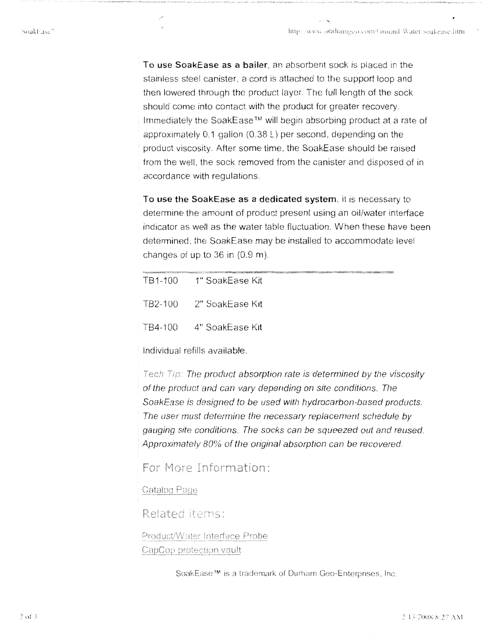To use SoakEase as a bailer, an absorbent sock is placed in the stainless steel canister, a cord is attached to the support loop and then lowered through the product layer. The full length of the sock should come into contact with the product for greater recovery. Immediately the SoakEase<sup>™</sup> will begin absorbing product at a rate of approximately  $0.1$  gallon (0.38 L) per second, depending on the product viscosity. After some time, the SoakEase should be raised from the well, the sock removed from the canister and disposed of in accordance with regulations.

To use the SoakEase as a dedicated system, it is necessary to determine the amount of product present using an oil/water interface indicator as well as the water table fluctuation. When these have been determined, the SoakEase may be installed to accommodate level changes of up to 36 in (0.9 m).

| TB1-100 1" SoakEase Kit       |
|-------------------------------|
| - TB2-100 - - 2" SoakEase Kit |
| TB4-100 4" SoakEase Kit       |

Individual refills available.

Tech Tip: The product absorption rate is determined by the viscosity of the product and can vary depending on site conditions. The SoakEase is designed to be used with hydrocarbon-based products. The user must determine the necessary replacement schedule by gauging site conditions. The socks can be squeezed out and reused Approximately 80% of the original absorption can be recovered.

For More Information:

Catalog Page

Related items:

Product/Water Interface Probe CapCop protection vault

SoakEase™ is a trademark of Durham Geo-Enterprises, Inc.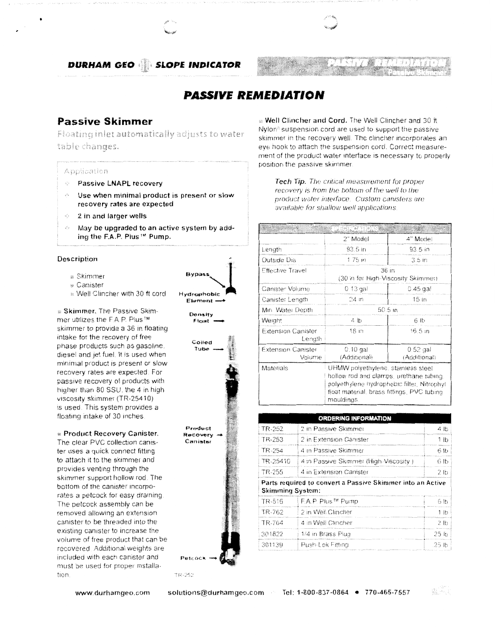**DURHAM GEO SLOPE INDICATOR** 



## **PASSIVE REMEDIATION**

## **Passive Skimmer**

Floating inlet automatically adjusts to water table changes.

#### Application

- **Passive LNAPL recovery**
- Use when minimal product is present or slow recovery rates are expected
- 2 in and larger wells  $\omega^2$  s
- May be upgraded to an active system by adding the F.A.P. Plus™ Pump.

#### Description

- <sup>®</sup> Skimmer
- **Canister**
- as Well Clincher with 30 ft cord

**» Skimmer.** The Passive Skimmer utilizes the F.A.P. Plus™ skimmer to provide a 36 in floating intake for the recovery of free phase products such as gasoline, diesel and jet fuel. It is used when minimal product is present or slow recovery rates are expected. For passive recovery of products with higher than 80 SSU, the 4 in high viscosity skimmer (TR-25410) is used. This system provides a floating intake of 30 inches

#### **Recovery Canister.**

The clear PVC collection canister uses a quick connect fitting to attach it to the skimmer and provides venting through the skimmer support hollow rod. The bottom of the canister incorporates a petcock for easy draining The petcock assembly can be removed allowing an extension canister to be threaded into the existing canister to increase the volume of free product that can be recovered. Additional weights are included with each canister and must be used for proper installation



Density Float



a Well Clincher and Cord. The Well Clincher and 30 ft Nylon<sup>®</sup> suspension cord are used to support the passive skimmer in the recovery well. The clincher incorporates an eye hook to attach the suspension cord. Correct measurement of the product water interface is necessary to properly position the passive skimmer.

Tech Tip. The critical measurement for proper recovery is from the bottom of the well to the product water interface. Custom canisters are available for shallow well applications

|                                     | eri ar viel s:<br>sforddomaniad ambrono                |                                                                                                                                                                           |  |
|-------------------------------------|--------------------------------------------------------|---------------------------------------------------------------------------------------------------------------------------------------------------------------------------|--|
|                                     | 2" Model                                               | 4" Model                                                                                                                                                                  |  |
| Length                              | 93 5 in                                                | 93.5 in                                                                                                                                                                   |  |
| Outside Dia                         | 175m                                                   | -3.5 in                                                                                                                                                                   |  |
| <b>Effective Travel</b>             | 36 <sub>in</sub><br>(30 in for High-Viscosity Skimmer) |                                                                                                                                                                           |  |
| Canister Volume                     | $0.13$ gal                                             | $0.45$ gal                                                                                                                                                                |  |
| Canister Length                     | 24 <sub>in</sub>                                       | 15 <sub>in</sub>                                                                                                                                                          |  |
| Min. Water Depth                    | 50.5 m                                                 |                                                                                                                                                                           |  |
| Weight                              | 4 Ib                                                   | 6 lb                                                                                                                                                                      |  |
| <b>Extension Canister</b><br>Length | 18 in                                                  | 16.5 <sub>in</sub>                                                                                                                                                        |  |
| <b>Extension Canister</b><br>Volume | $0.10$ gal<br>(Additional)                             | $0.52$ gal<br>(Additional)                                                                                                                                                |  |
| Materials                           | mouldings.                                             | UHMW polyethylene, stainless steel<br>hollow rod and clamps, urethane tubing.<br>polyethylene hydrophobic filter, Nitrophyl<br>float material, brass fittings, PVC tubing |  |

| <b>ORDERING INFORMATION</b>                                                           |                                       |                |  |  |  |
|---------------------------------------------------------------------------------------|---------------------------------------|----------------|--|--|--|
| TR-252                                                                                | 2 in Passive Skimmer                  | 4 lb           |  |  |  |
| TR-253                                                                                | 2 in Extension Canister               | 1 lb           |  |  |  |
| TR-254                                                                                | 4 in Passive Skimmer                  | 6 lb           |  |  |  |
| TR-25410                                                                              | 4 in Passive Skimmer (High-Viscosity) | 6 lb           |  |  |  |
| TR-255                                                                                | 4 in Extension Canister               | 2 lb           |  |  |  |
| Parts required to convert a Passive Skimmer into an Active<br><b>Skimming System:</b> |                                       |                |  |  |  |
| TR-516                                                                                | FA P. Plus™ Pump                      | 6 lb           |  |  |  |
| TR-762                                                                                | 2 in Well Clincher                    | 1 <sub>h</sub> |  |  |  |
| TR-764                                                                                | 4 in Well Clincher                    | 2 lb           |  |  |  |
| 301822                                                                                | 1/4 in Brass Plug                     | 25 lb          |  |  |  |
| 301139                                                                                | Push-Lok Fittina                      | -25 lb         |  |  |  |

www.durhamgeo.com